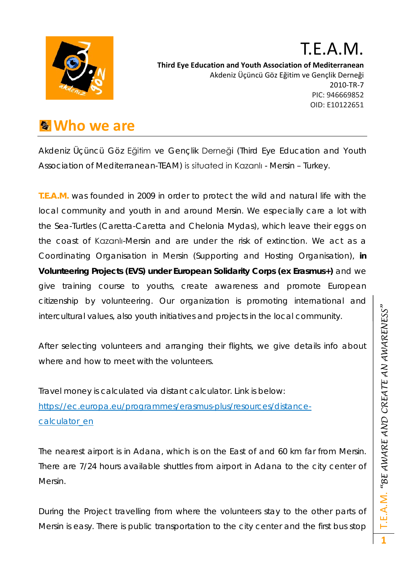

#### T.E.A.M. **Third Eye Education and Youth Association of Mediterranean** Akdeniz Üçüncü Göz Eğitim ve Gençlik Derneği 2010-TR-7 PIC: 946669852 OID: E10122651

#### **Who we are**

Akdeniz Üçüncü Göz Eğitim ve Gençlik Derneği (Third Eye Education and Youth Association of Mediterranean-TEAM) is situated in Kazanlı - Mersin – Turkey.

**T.E.A.M.** was founded in 2009 in order to protect the wild and natural life with the local community and youth in and around Mersin. We especially care a lot with the Sea-Turtles (Caretta-Caretta and Chelonia Mydas), which leave their eggs on the coast of Kazanlı-Mersin and are under the risk of extinction. We act as a Coordinating Organisation in Mersin (Supporting and Hosting Organisation), **in Volunteering Projects (EVS) under European Solidarity Corps (ex Erasmus+)** and we give training course to youths, create awareness and promote European citizenship by volunteering. Our organization is promoting international and intercultural values, also youth initiatives and projects in the local community.

After selecting volunteers and arranging their flights, we give details info about where and how to meet with the volunteers.

Travel money is calculated via distant calculator. Link is below: [https://ec.europa.eu/programmes/erasmus-plus/resources/distance](https://ec.europa.eu/programmes/erasmus-plus/resources/distance-calculator_en)[calculator\\_en](https://ec.europa.eu/programmes/erasmus-plus/resources/distance-calculator_en)

The nearest airport is in Adana, which is on the East of and 60 km far from Mersin. There are 7/24 hours available shuttles from airport in Adana to the city center of Mersin.

During the Project travelling from where the volunteers stay to the other parts of Mersin is easy. There is public transportation to the city center and the first bus stop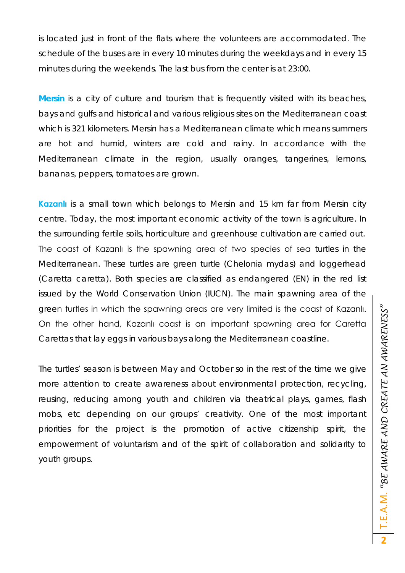is located just in front of the flats where the volunteers are accommodated. The schedule of the buses are in every 10 minutes during the weekdays and in every 15 minutes during the weekends. The last bus from the center is at 23:00.

**Mersin** is a city of culture and tourism that is frequently visited with its beaches, bays and gulfs and historical and various religious sites on the Mediterranean coast which is 321 kilometers. Mersin has a Mediterranean climate which means summers are hot and humid, winters are cold and rainy. In accordance with the Mediterranean climate in the region, usually oranges, tangerines, lemons, bananas, peppers, tomatoes are grown.

**Kazanlı** is a small town which belongs to Mersin and 15 km far from Mersin city centre. Today, the most important economic activity of the town is agriculture. In the surrounding fertile soils, horticulture and greenhouse cultivation are carried out. The coast of Kazanlı is the spawning area of two species of sea turtles in the Mediterranean. These turtles are green turtle (Chelonia mydas) and loggerhead (Caretta caretta). Both species are classified as endangered (EN) in the red list issued by the World Conservation Union (IUCN). The main spawning area of the green turtles in which the spawning areas are very limited is the coast of Kazanlı. On the other hand, Kazanlı coast is an important spawning area for Caretta Carettas that lay eggs in various bays along the Mediterranean coastline.

The turtles' season is between May and October so in the rest of the time we give more attention to create awareness about environmental protection, recycling, reusing, reducing among youth and children via theatrical plays, games, flash mobs, etc depending on our groups' creativity. One of the most important priorities for the project is the promotion of active citizenship spirit, the empowerment of voluntarism and of the spirit of collaboration and solidarity to youth groups.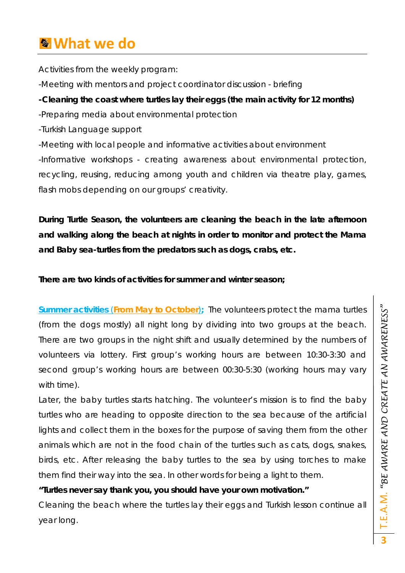### **What we do**

Activities from the weekly program:

-Meeting with mentors and project coordinator discussion - briefing

#### **-Cleaning the coast where turtles lay their eggs (the main activity for 12 months)**

-Preparing media about environmental protection

-Turkish Language support

-Meeting with local people and informative activities about environment -Informative workshops - creating awareness about environmental protection, recycling, reusing, reducing among youth and children via theatre play, games, flash mobs depending on our groups' creativity.

**During Turtle Season, the volunteers are cleaning the beach in the late afternoon and walking along the beach at nights in order to monitor and protect the Mama and Baby sea-turtles from the predators such as dogs, crabs, etc.**

**There are two kinds of activities for summer and winter season;**

**Summer activities** *(From May to October)***;** The volunteers protect the mama turtles (from the dogs mostly) all night long by dividing into two groups at the beach. There are two groups in the night shift and usually determined by the numbers of volunteers via lottery. First group's working hours are between 10:30-3:30 and second group's working hours are between 00:30-5:30 (working hours may vary with time).

Later, the baby turtles starts hatching. The volunteer's mission is to find the baby turtles who are heading to opposite direction to the sea because of the artificial lights and collect them in the boxes for the purpose of saving them from the other animals which are not in the food chain of the turtles such as cats, dogs, snakes, birds, etc. After releasing the baby turtles to the sea by using torches to make them find their way into the sea. In other words for being a light to them.

#### *"Turtles never say thank you, you should have your own motivation."*

Cleaning the beach where the turtles lay their eggs and Turkish lesson continue all year long.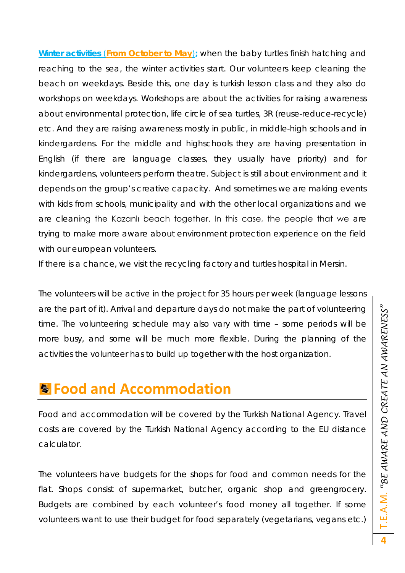**Winter activities** *(From October to May)***;** when the baby turtles finish hatching and reaching to the sea, the winter activities start. Our volunteers keep cleaning the beach on weekdays. Beside this, one day is turkish lesson class and they also do workshops on weekdays. Workshops are about the activities for raising awareness about environmental protection, life circle of sea turtles, 3R (reuse-reduce-recycle) etc. And they are raising awareness mostly in public, in middle-high schools and in kindergardens. For the middle and highschools they are having presentation in English (if there are language classes, they usually have priority) and for kindergardens, volunteers perform theatre. Subject is still about environment and it depends on the group's creative capacity. And sometimes we are making events with kids from schools, municipality and with the other local organizations and we are cleaning the Kazanlı beach together. In this case, the people that we are trying to make more aware about environment protection experience on the field with our european volunteers.

If there is a chance, we visit the recycling factory and turtles hospital in Mersin.

The volunteers will be active in the project for 35 hours per week (language lessons are the part of it). Arrival and departure days do not make the part of volunteering time. The volunteering schedule may also vary with time – some periods will be more busy, and some will be much more flexible. During the planning of the activities the volunteer has to build up together with the host organization.

### **Food and Accommodation**

Food and accommodation will be covered by the Turkish National Agency. Travel costs are covered by the Turkish National Agency according to the EU distance calculator.

The volunteers have budgets for the shops for food and common needs for the flat. Shops consist of supermarket, butcher, organic shop and greengrocery. Budgets are combined by each volunteer's food money all together. If some volunteers want to use their budget for food separately (vegetarians, vegans etc.)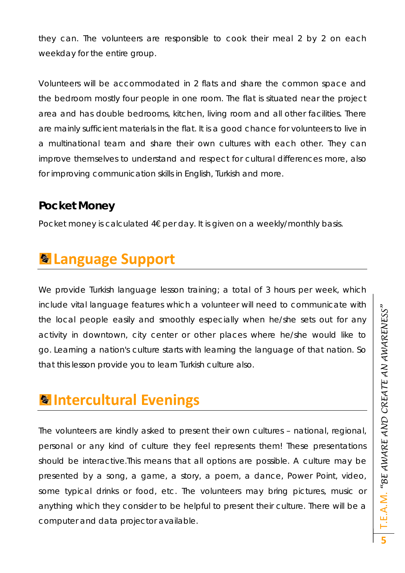they can. The volunteers are responsible to cook their meal 2 by 2 on each weekday for the entire group.

Volunteers will be accommodated in 2 flats and share the common space and the bedroom mostly four people in one room. The flat is situated near the project area and has double bedrooms, kitchen, living room and all other facilities. There are mainly sufficient materials in the flat. It is a good chance for volunteers to live in a multinational team and share their own cultures with each other. They can improve themselves to understand and respect for cultural differences more, also for improving communication skills in English, Turkish and more.

#### **Pocket Money**

Pocket money is calculated 4€ per day. It is given on a weekly/monthly basis.

# **Language Support**

We provide Turkish language lesson training; a total of 3 hours per week, which include vital language features which a volunteer will need to communicate with the local people easily and smoothly especially when he/she sets out for any activity in downtown, city center or other places where he/she would like to go. Learning a nation's culture starts with learning the language of that nation. So that this lesson provide you to learn Turkish culture also.

## **Intercultural Evenings**

The volunteers are kindly asked to present their own cultures – national, regional, personal or any kind of culture they feel represents them! These presentations should be interactive.This means that all options are possible. A culture may be presented by a song, a game, a story, a poem, a dance, Power Point, video, some typical drinks or food, etc. The volunteers may bring pictures, music or anything which they consider to be helpful to present their culture. There will be a computer and data projector available.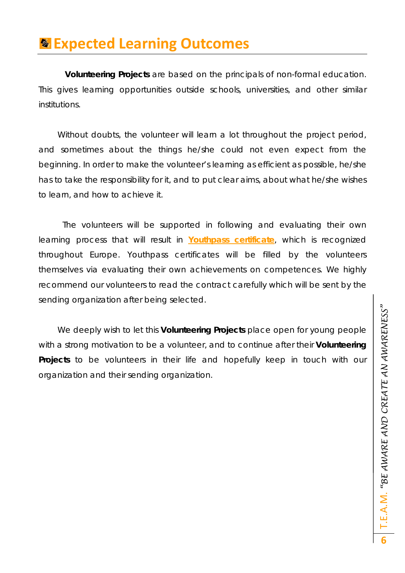### **Expected Learning Outcomes**

**Volunteering Projects** are based on the principals of non-formal education. This gives learning opportunities outside schools, universities, and other similar institutions.

Without doubts, the volunteer will learn a lot throughout the project period, and sometimes about the things he/she could not even expect from the beginning. In order to make the volunteer's learning as efficient as possible, he/she has to take the responsibility for it, and to put clear aims, about what he/she wishes to learn, and how to achieve it.

The volunteers will be supported in following and evaluating their own learning process that will result in **Youthpass certificate**, which is recognized throughout Europe. Youthpass certificates will be filled by the volunteers themselves via evaluating their own achievements on competences. We highly recommend our volunteers to read the contract carefully which will be sent by the sending organization after being selected.

We deeply wish to let this **Volunteering Projects** place open for young people with a strong motivation to be a volunteer, and to continue after their **Volunteering Projects** to be volunteers in their life and hopefully keep in touch with our organization and their sending organization.